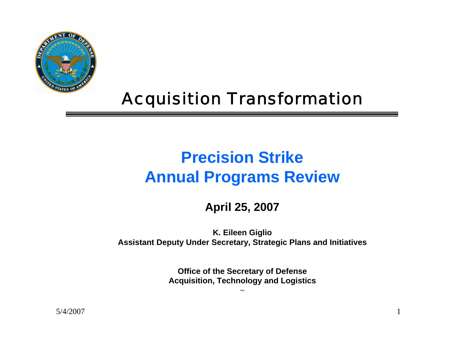

#### Acquisition Transformation

#### **Precision StrikeAnnual Programs Review**

#### **April 25, 2007**

**K. Eileen Giglio Assistant Deputy Under Secretary, Strategic Plans and Initiatives**

> **Office of the Secretary of Defense Acquisition, Technology and Logistics**

> > ~

5/4/2007 $\frac{1}{1}$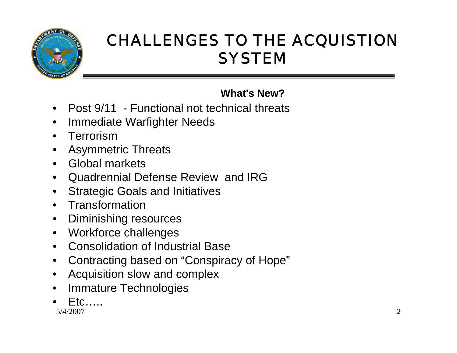

#### CHALLENGES TO THE ACQUISTION **SYSTEM**

**What's New?**

- Post 9/11 Functional not technical threats
- Immediate Warfighter Needs
- Terrorism
- Asymmetric Threats
- Global markets
- Quadrennial Defense Review and IRG
- Strategic Goals and Initiatives
- Transformation
- Diminishing resources
- Workforce challenges
- Consolidation of Industrial Base
- Contracting based on "Conspiracy of Hope"
- Acquisition slow and complex
- **Immature Technologies**
- 5/4/2007 $\frac{7}{2}$  $F$ tc…..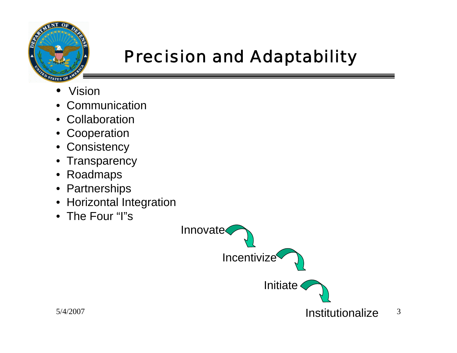

## Precision and Adaptability

- •Vision
- •Communication
- Collaboration
- Cooperation
- Consistency
- Transparency
- $\bullet$ Roadmaps
- Partnerships
- Horizontal Integration
- The Four "I"s

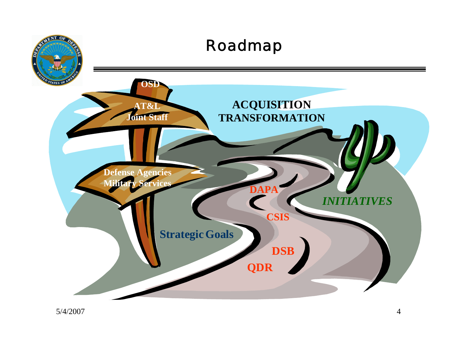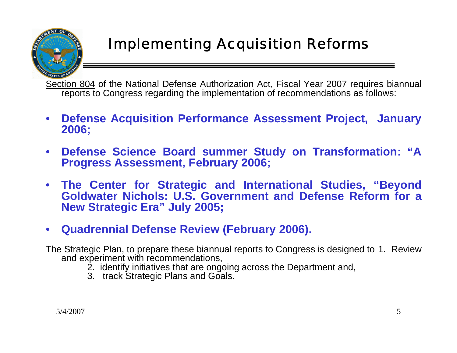#### Implementing Acquisition Reforms

Section 804 of the National Defense Authorization Act, Fiscal Year 2007 requires biannual reports to Congress regarding the implementation of recommendations as follows:

- **Defense Acquisition Performance Assessment Project, January 2006;**
- **Defense Science Board summer Study on Transformation: "A Progress Assessment, February 2006;**
- **The Center for Strategic and International Studies, "Beyond Goldwater Nichols: U.S. Government and Defense Reform for a New Strategic Era" July 2005;**
- **Quadrennial Defense Review (February 2006).**

The Strategic Plan, to prepare these biannual reports to Congress is designed to 1. Review and experiment with recommendations,

- 2. identify initiatives that are ongoing across the Department and,
- 3. track Strategic Plans and Goals.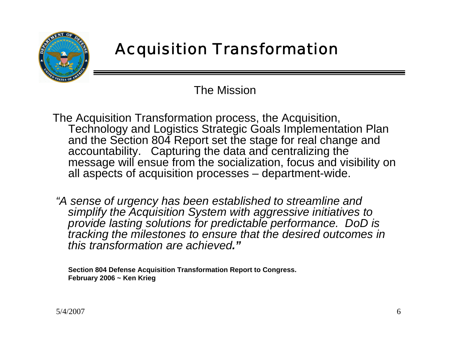

### Acquisition Transformation

The Mission

The Acquisition Transformation process, the Acquisition, Technology and Logistics Strategic Goals Implementation Plan and the Section 804 Report set the stage for real change and accountability. Capturing the data and centralizing the message will ensue from the socialization, focus and visibility on all aspects of acquisition processes – department-wide.

*"A sense of urgency has been established to streamline and simplify the Acquisition System with aggressive initiatives to provide lasting solutions for predictable performance. DoD is tracking the milestones to ensure that the desired outcomes in this transformation are achieved."*

**Section 804 Defense Acquisition Transformation Report to Congress. February 2006 ~ Ken Krieg**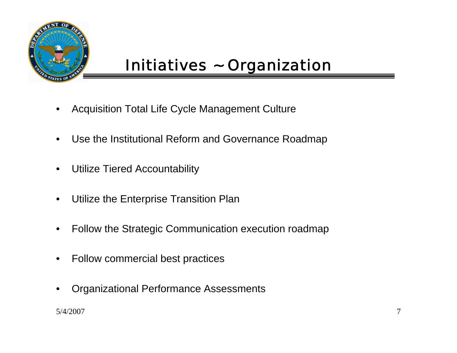

- Acquisition Total Life Cycle Management Culture
- Use the Institutional Reform and Governance Roadmap
- Utilize Tiered Accountability
- Utilize the Enterprise Transition Plan
- Follow the Strategic Communication execution roadmap
- Follow commercial best practices
- Organizational Performance Assessments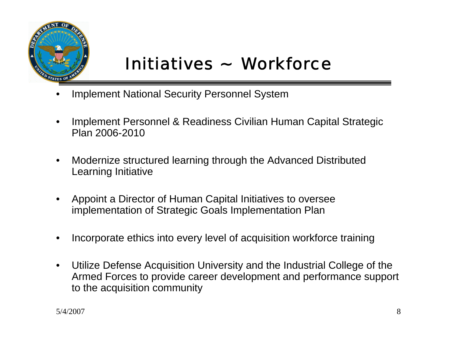

## Initiatives ~ Workforce

- Implement National Security Personnel System
- Implement Personnel & Readiness Civilian Human Capital Strategic Plan 2006-2010
- Modernize structured learning through the Advanced Distributed Learning Initiative
- Appoint a Director of Human Capital Initiatives to oversee implementation of Strategic Goals Implementation Plan
- Incorporate ethics into every level of acquisition workforce training
- Utilize Defense Acquisition University and the Industrial College of the Armed Forces to provide career development and performance support to the acquisition community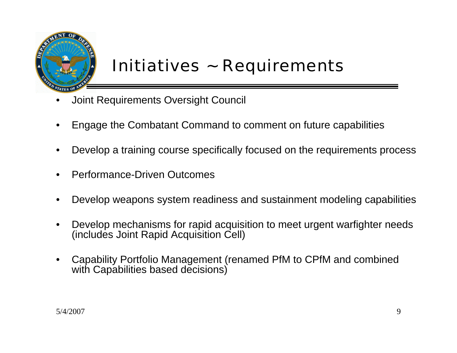

### Initiatives ~ Requirements

- Joint Requirements Oversight Council
- Engage the Combatant Command to comment on future capabilities
- Develop a training course specifically focused on the requirements process
- Performance-Driven Outcomes
- Develop weapons system readiness and sustainment modeling capabilities
- Develop mechanisms for rapid acquisition to meet urgent warfighter needs (includes Joint Rapid Acquisition Cell)
- Capability Portfolio Management (renamed PfM to CPfM and combined with Capabilities based decisions)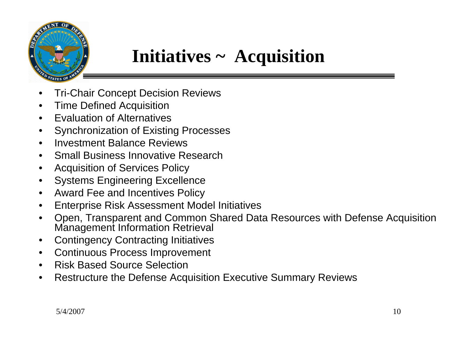

## **Initiatives ~ Acquisition**

- Tri-Chair Concept Decision Reviews
- Time Defined Acquisition
- Evaluation of Alternatives
- Synchronization of Existing Processes
- Investment Balance Reviews
- Small Business Innovative Research
- Acquisition of Services Policy
- Systems Engineering Excellence
- Award Fee and Incentives Policy
- Enterprise Risk Assessment Model Initiatives
- Open, Transparent and Common Shared Data Resources with Defense Acquisition Management Information Retrieval
- Contingency Contracting Initiatives
- Continuous Process Improvement
- Risk Based Source Selection
- Restructure the Defense Acquisition Executive Summary Reviews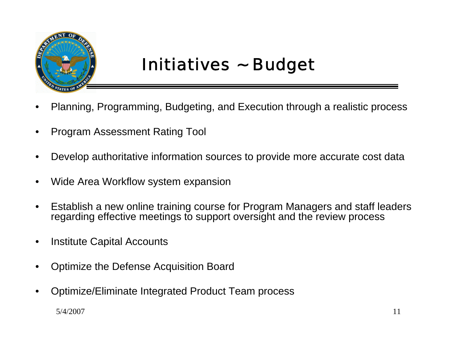

## Initiatives ~ Budget

- Planning, Programming, Budgeting, and Execution through a realistic process
- Program Assessment Rating Tool
- Develop authoritative information sources to provide more accurate cost data
- Wide Area Workflow system expansion
- Establish a new online training course for Program Managers and staff leaders regarding effective meetings to support oversight and the review process
- **Institute Capital Accounts**
- Optimize the Defense Acquisition Board
- Optimize/Eliminate Integrated Product Team process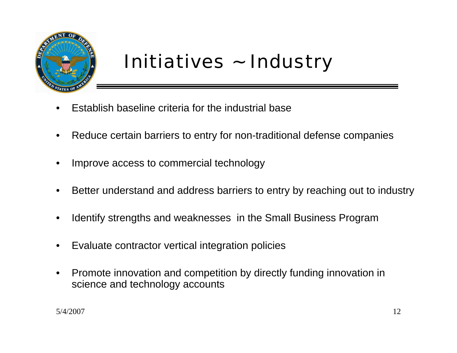

# Initiatives ~ Industry

- Establish baseline criteria for the industrial base
- Reduce certain barriers to entry for non-traditional defense companies
- Improve access to commercial technology
- Better understand and address barriers to entry by reaching out to industry
- Identify strengths and weaknesses in the Small Business Program
- Evaluate contractor vertical integration policies
- Promote innovation and competition by directly funding innovation in science and technology accounts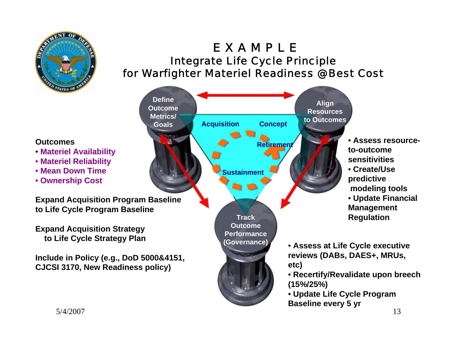

**Outcomes**

#### E X A M P L E Integrate Life Cycle Principle for Warfighter Materiel Readiness @ Best Cost

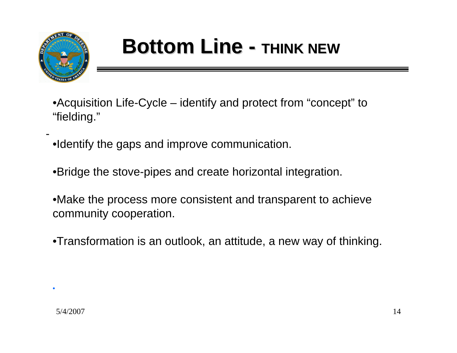

-

# **Bottom Line - THINK NEW**

- •Acquisition Life-Cycle identify and protect from "concept" to "fielding."
- •Identify the gaps and improve communication.
- •Bridge the stove-pipes and create horizontal integration.
- •Make the process more consistent and transparent to achieve community cooperation.
- •Transformation is an outlook, an attitude, a new way of thinking.

**.**